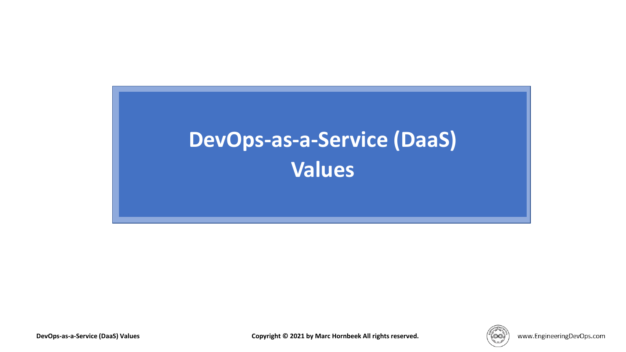# **DevOps-as-a-Service (DaaS) Values**

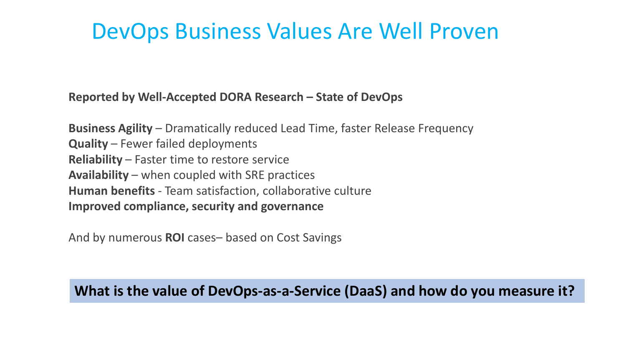### DevOps Business Values Are Well Proven

**Reported by Well-Accepted DORA Research – State of DevOps**

**Business Agility** – Dramatically reduced Lead Time, faster Release Frequency **Quality** – Fewer failed deployments **Reliability** – Faster time to restore service **Availability** – when coupled with SRE practices **Human benefits** - Team satisfaction, collaborative culture **Improved compliance, security and governance**

And by numerous **ROI** cases– based on Cost Savings

#### **What is the value of DevOps-as-a-Service (DaaS) and how do you measure it?**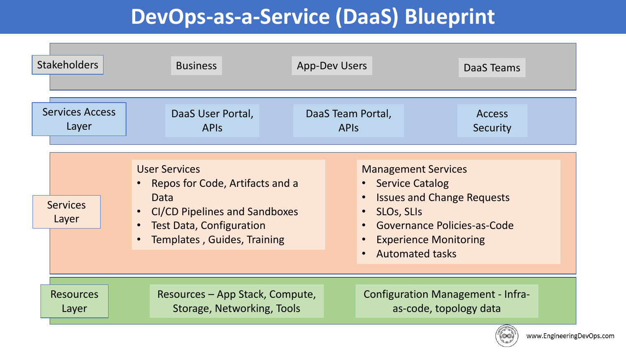### **DevOps-as-a-Service (DaaS) Blueprint**

| <b>Stakeholders</b>      | <b>Business</b>                                                                                                                                                                                     | <b>App-Dev Users</b> | DaaS Teams                                                                                                                                                                                           |
|--------------------------|-----------------------------------------------------------------------------------------------------------------------------------------------------------------------------------------------------|----------------------|------------------------------------------------------------------------------------------------------------------------------------------------------------------------------------------------------|
| <b>Services Access</b>   | DaaS User Portal,                                                                                                                                                                                   | DaaS Team Portal,    | <b>Access</b>                                                                                                                                                                                        |
| Layer                    | <b>APIS</b>                                                                                                                                                                                         | <b>APIS</b>          | Security                                                                                                                                                                                             |
| <b>Services</b><br>Layer | <b>User Services</b><br>Repos for Code, Artifacts and a<br>$\bullet$<br>Data<br><b>CI/CD Pipelines and Sandboxes</b><br>$\bullet$<br><b>Test Data, Configuration</b><br>Templates, Guides, Training |                      | <b>Management Services</b><br>• Service Catalog<br><b>Issues and Change Requests</b><br><b>SLOS, SLIS</b><br>• Governance Policies-as-Code<br><b>Experience Monitoring</b><br><b>Automated tasks</b> |
| <b>Resources</b>         | Resources – App Stack, Compute,                                                                                                                                                                     |                      | <b>Configuration Management - Infra-</b>                                                                                                                                                             |
| Layer                    | Storage, Networking, Tools                                                                                                                                                                          |                      | as-code, topology data                                                                                                                                                                               |

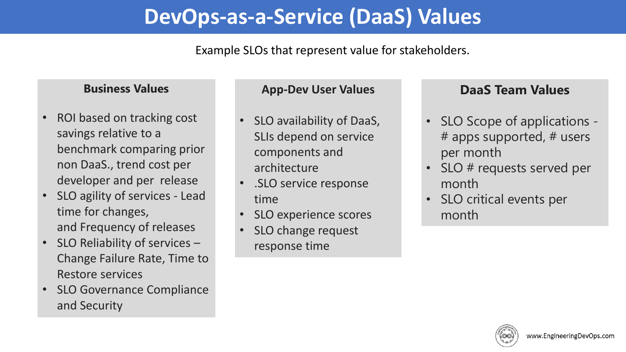### **DevOps-as-a-Service (DaaS) Values**

#### Example SLOs that represent value for stakeholders.

#### **Business Values**

- ROI based on tracking cost savings relative to a benchmark comparing prior non DaaS., trend cost per developer and per release
- SLO agility of services Lead time for changes, and Frequency of releases
- SLO Reliability of services Change Failure Rate, Time to Restore services
- SLO Governance Compliance and Security

#### **App-Dev User Values**

- SLO availability of DaaS, SLIs depend on service components and architecture
- .SLO service response time
- SLO experience scores
- SLO change request response time

#### **DaaS Team Values**

- SLO Scope of applications # apps supported, # users per month
- SLO # requests served per month
- SLO critical events per month